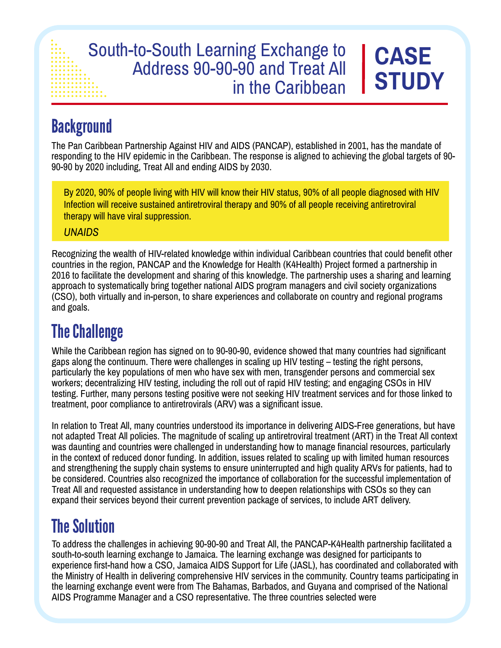#### South-to-South Learning Exchange to Address 90-90-90 and Treat All in the Caribbean **CASE STUDY**

# **Background**

The Pan Caribbean Partnership Against HIV and AIDS (PANCAP), established in 2001, has the mandate of responding to the HIV epidemic in the Caribbean. The response is aligned to achieving the global targets of 90- 90-90 by 2020 including, Treat All and ending AIDS by 2030.

By 2020, 90% of people living with HIV will know their HIV status, 90% of all people diagnosed with HIV Infection will receive sustained antiretroviral therapy and 90% of all people receiving antiretroviral therapy will have viral suppression.

*UNAIDS*

Recognizing the wealth of HIV-related knowledge within individual Caribbean countries that could benefit other countries in the region, PANCAP and the Knowledge for Health (K4Health) Project formed a partnership in 2016 to facilitate the development and sharing of this knowledge. The partnership uses a sharing and learning approach to systematically bring together national AIDS program managers and civil society organizations (CSO), both virtually and in-person, to share experiences and collaborate on country and regional programs and goals.

## The Challenge

While the Caribbean region has signed on to 90-90-90, evidence showed that many countries had significant gaps along the continuum. There were challenges in scaling up HIV testing – testing the right persons, particularly the key populations of men who have sex with men, transgender persons and commercial sex workers; decentralizing HIV testing, including the roll out of rapid HIV testing; and engaging CSOs in HIV testing. Further, many persons testing positive were not seeking HIV treatment services and for those linked to treatment, poor compliance to antiretrovirals (ARV) was a significant issue.

In relation to Treat All, many countries understood its importance in delivering AIDS-Free generations, but have not adapted Treat All policies. The magnitude of scaling up antiretroviral treatment (ART) in the Treat All context was daunting and countries were challenged in understanding how to manage financial resources, particularly in the context of reduced donor funding. In addition, issues related to scaling up with limited human resources and strengthening the supply chain systems to ensure uninterrupted and high quality ARVs for patients, had to be considered. Countries also recognized the importance of collaboration for the successful implementation of Treat All and requested assistance in understanding how to deepen relationships with CSOs so they can expand their services beyond their current prevention package of services, to include ART delivery.

## The Solution

To address the challenges in achieving 90-90-90 and Treat All, the PANCAP-K4Health partnership facilitated a south-to-south learning exchange to Jamaica. The learning exchange was designed for participants to experience first-hand how a CSO, Jamaica AIDS Support for Life (JASL), has coordinated and collaborated with the Ministry of Health in delivering comprehensive HIV services in the community. Country teams participating in the learning exchange event were from The Bahamas, Barbados, and Guyana and comprised of the National AIDS Programme Manager and a CSO representative. The three countries selected were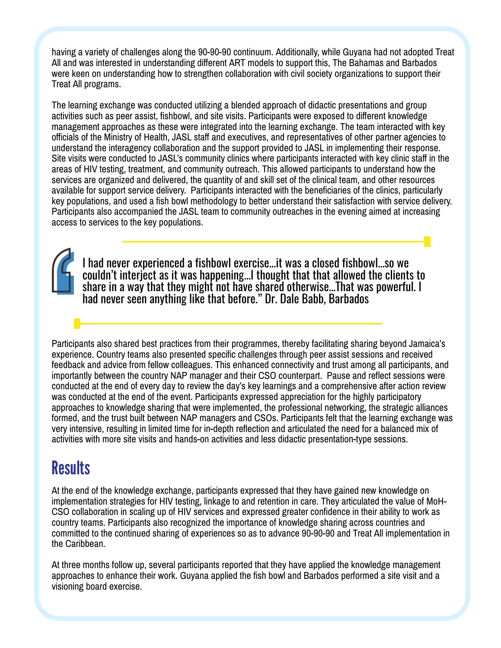having a variety of challenges along the 90-90-90 continuum. Additionally, while Guyana had not adopted Treat All and was interested in understanding different ART models to support this, The Bahamas and Barbados were keen on understanding how to strengthen collaboration with civil society organizations to support their Treat All programs.

The learning exchange was conducted utilizing a blended approach of didactic presentations and group activities such as peer assist, fishbowl, and site visits. Participants were exposed to different knowledge management approaches as these were integrated into the learning exchange. The team interacted with key officials of the Ministry of Health, JASL staff and executives, and representatives of other partner agencies to understand the interagency collaboration and the support provided to JASL in implementing their response. Site visits were conducted to JASL's community clinics where participants interacted with key clinic staff in the areas of HIV testing, treatment, and community outreach. This allowed participants to understand how the services are organized and delivered, the quantity of and skill set of the clinical team, and other resources available for support service delivery. Participants interacted with the beneficiaries of the clinics, particularly key populations, and used a fish bowl methodology to better understand their satisfaction with service delivery. Participants also accompanied the JASL team to community outreaches in the evening aimed at increasing access to services to the key populations.

I had never experienced a fishbowl exercise...it was a closed fishbowl...so we couldn't interject as it was happening...I thought that that allowed the clients to share in a way that they might not have shared otherwise...That was powerful. I had never seen anything like that before." Dr. Dale Babb, Barbados

Participants also shared best practices from their programmes, thereby facilitating sharing beyond Jamaica's experience. Country teams also presented specific challenges through peer assist sessions and received feedback and advice from fellow colleagues. This enhanced connectivity and trust among all participants, and importantly between the country NAP manager and their CSO counterpart. Pause and reflect sessions were conducted at the end of every day to review the day's key learnings and a comprehensive after action review was conducted at the end of the event. Participants expressed appreciation for the highly participatory approaches to knowledge sharing that were implemented, the professional networking, the strategic alliances formed, and the trust built between NAP managers and CSOs. Participants felt that the learning exchange was very intensive, resulting in limited time for in-depth reflection and articulated the need for a balanced mix of activities with more site visits and hands-on activities and less didactic presentation-type sessions.

### **Results**

At the end of the knowledge exchange, participants expressed that they have gained new knowledge on implementation strategies for HIV testing, linkage to and retention in care. They articulated the value of MoH-CSO collaboration in scaling up of HIV services and expressed greater confidence in their ability to work as country teams. Participants also recognized the importance of knowledge sharing across countries and committed to the continued sharing of experiences so as to advance 90-90-90 and Treat All implementation in the Caribbean.

At three months follow up, several participants reported that they have applied the knowledge management approaches to enhance their work. Guyana applied the fish bowl and Barbados performed a site visit and a visioning board exercise.